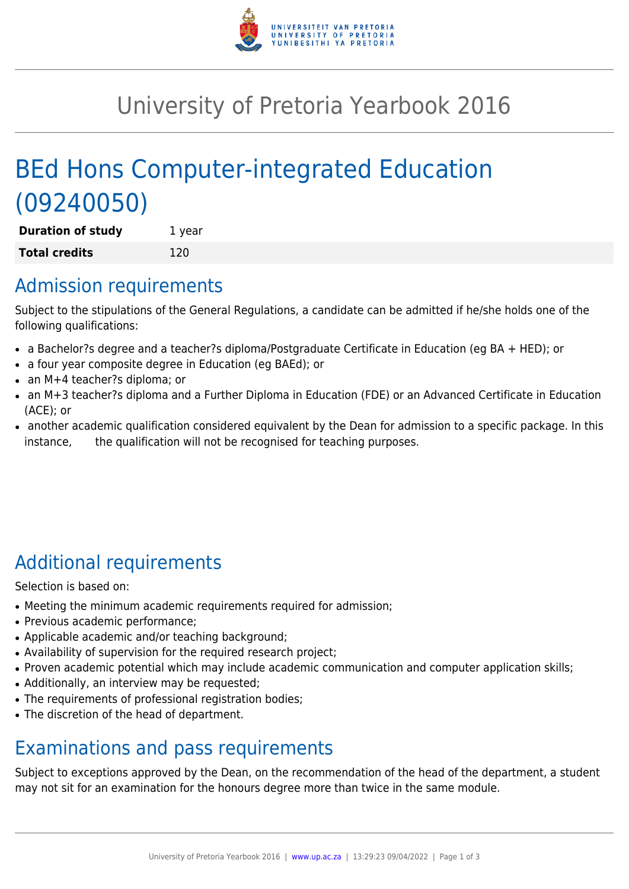

# University of Pretoria Yearbook 2016

# BEd Hons Computer-integrated Education (09240050)

**Duration of study** 1 year **Total credits** 120

## Admission requirements

Subject to the stipulations of the General Regulations, a candidate can be admitted if he/she holds one of the following qualifications:

- a Bachelor?s degree and a teacher?s diploma/Postgraduate Certificate in Education (eg BA + HED); or
- a four year composite degree in Education (eg BAEd); or
- an M+4 teacher?s diploma; or
- an M+3 teacher?s diploma and a Further Diploma in Education (FDE) or an Advanced Certificate in Education (ACE); or
- another academic qualification considered equivalent by the Dean for admission to a specific package. In this instance, the qualification will not be recognised for teaching purposes.

## Additional requirements

Selection is based on:

- Meeting the minimum academic requirements required for admission;
- Previous academic performance:
- Applicable academic and/or teaching background;
- Availability of supervision for the required research project;
- Proven academic potential which may include academic communication and computer application skills;
- Additionally, an interview may be requested;
- The requirements of professional registration bodies;
- The discretion of the head of department.

#### Examinations and pass requirements

Subject to exceptions approved by the Dean, on the recommendation of the head of the department, a student may not sit for an examination for the honours degree more than twice in the same module.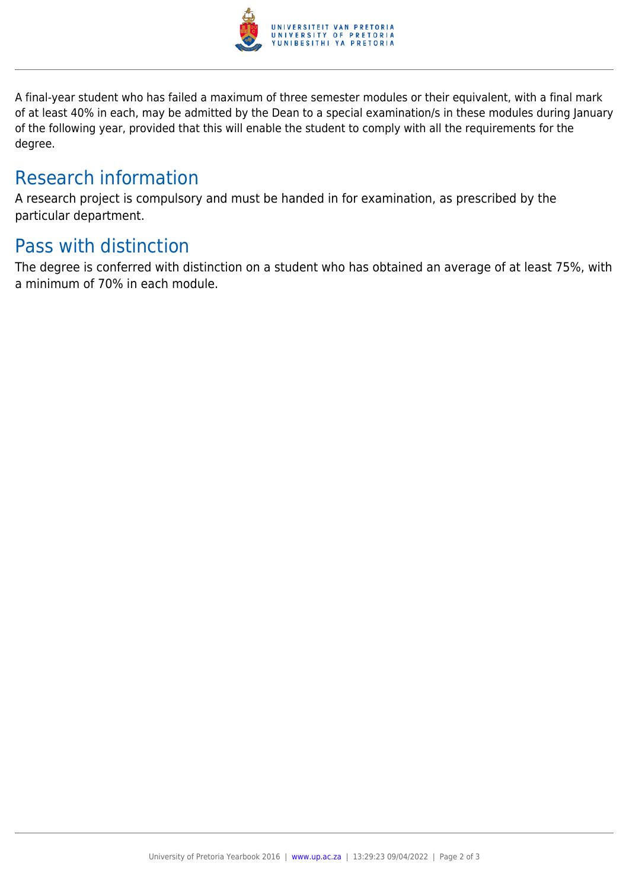

A final-year student who has failed a maximum of three semester modules or their equivalent, with a final mark of at least 40% in each, may be admitted by the Dean to a special examination/s in these modules during January of the following year, provided that this will enable the student to comply with all the requirements for the degree.

## Research information

A research project is compulsory and must be handed in for examination, as prescribed by the particular department.

#### Pass with distinction

The degree is conferred with distinction on a student who has obtained an average of at least 75%, with a minimum of 70% in each module.